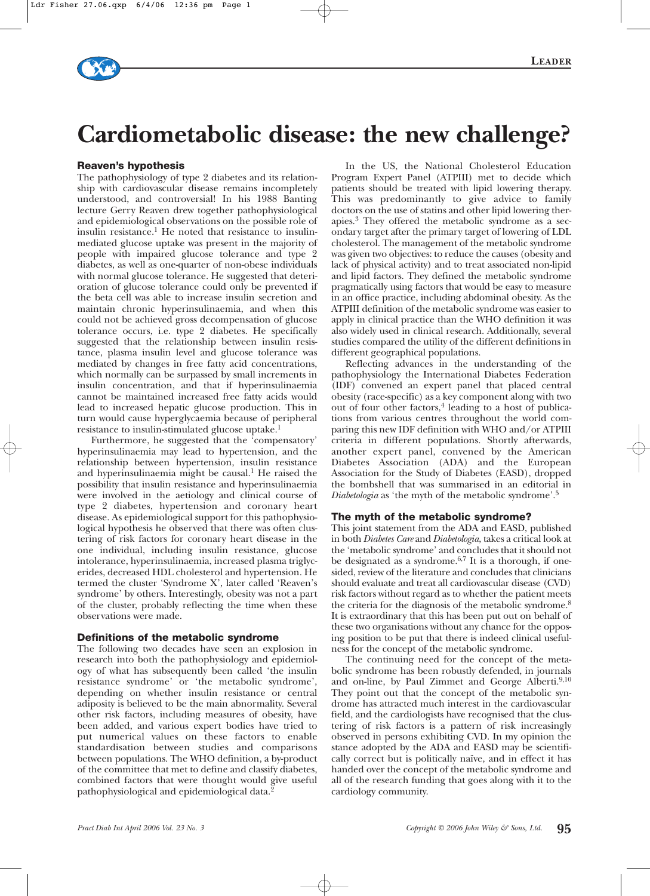# **Cardiometabolic disease: the new challenge?**

#### **Reaven's hypothesis**

The pathophysiology of type 2 diabetes and its relationship with cardiovascular disease remains incompletely understood, and controversial! In his 1988 Banting lecture Gerry Reaven drew together pathophysiological and epidemiological observations on the possible role of insulin resistance.<sup>1</sup> He noted that resistance to insulinmediated glucose uptake was present in the majority of people with impaired glucose tolerance and type 2 diabetes, as well as one-quarter of non-obese individuals with normal glucose tolerance. He suggested that deterioration of glucose tolerance could only be prevented if the beta cell was able to increase insulin secretion and maintain chronic hyperinsulinaemia, and when this could not be achieved gross decompensation of glucose tolerance occurs, i.e. type 2 diabetes. He specifically suggested that the relationship between insulin resistance, plasma insulin level and glucose tolerance was mediated by changes in free fatty acid concentrations, which normally can be surpassed by small increments in insulin concentration, and that if hyperinsulinaemia cannot be maintained increased free fatty acids would lead to increased hepatic glucose production. This in turn would cause hyperglycaemia because of peripheral resistance to insulin-stimulated glucose uptake.1

Furthermore, he suggested that the 'compensatory' hyperinsulinaemia may lead to hypertension, and the relationship between hypertension, insulin resistance and hyperinsulinaemia might be causal.<sup>1</sup> He raised the possibility that insulin resistance and hyperinsulinaemia were involved in the aetiology and clinical course of type 2 diabetes, hypertension and coronary heart disease. As epidemiological support for this pathophysiological hypothesis he observed that there was often clustering of risk factors for coronary heart disease in the one individual, including insulin resistance, glucose intolerance, hyperinsulinaemia, increased plasma triglycerides, decreased HDL cholesterol and hypertension. He termed the cluster 'Syndrome X', later called 'Reaven's syndrome' by others. Interestingly, obesity was not a part of the cluster, probably reflecting the time when these observations were made.

#### **Definitions of the metabolic syndrome**

The following two decades have seen an explosion in research into both the pathophysiology and epidemiology of what has subsequently been called 'the insulin resistance syndrome' or 'the metabolic syndrome', depending on whether insulin resistance or central adiposity is believed to be the main abnormality. Several other risk factors, including measures of obesity, have been added, and various expert bodies have tried to put numerical values on these factors to enable standardisation between studies and comparisons between populations. The WHO definition, a by-product of the committee that met to define and classify diabetes, combined factors that were thought would give useful pathophysiological and epidemiological data.2

In the US, the National Cholesterol Education Program Expert Panel (ATPIII) met to decide which patients should be treated with lipid lowering therapy. This was predominantly to give advice to family doctors on the use of statins and other lipid lowering therapies.3 They offered the metabolic syndrome as a secondary target after the primary target of lowering of LDL cholesterol. The management of the metabolic syndrome was given two objectives: to reduce the causes (obesity and lack of physical activity) and to treat associated non-lipid and lipid factors. They defined the metabolic syndrome pragmatically using factors that would be easy to measure in an office practice, including abdominal obesity. As the ATPIII definition of the metabolic syndrome was easier to apply in clinical practice than the WHO definition it was also widely used in clinical research. Additionally, several studies compared the utility of the different definitions in different geographical populations.

Reflecting advances in the understanding of the pathophysiology the International Diabetes Federation (IDF) convened an expert panel that placed central obesity (race-specific) as a key component along with two out of four other factors, $4$  leading to a host of publications from various centres throughout the world comparing this new IDF definition with WHO and/or ATPIII criteria in different populations. Shortly afterwards, another expert panel, convened by the American Diabetes Association (ADA) and the European Association for the Study of Diabetes (EASD), dropped the bombshell that was summarised in an editorial in *Diabetologia* as 'the myth of the metabolic syndrome'.5

#### **The myth of the metabolic syndrome?**

This joint statement from the ADA and EASD, published in both *Diabetes Care* and *Diabetologia*, takes a critical look at the 'metabolic syndrome' and concludes that it should not be designated as a syndrome. $6.7$  It is a thorough, if onesided, review of the literature and concludes that clinicians should evaluate and treat all cardiovascular disease (CVD) risk factors without regard as to whether the patient meets the criteria for the diagnosis of the metabolic syndrome.<sup>8</sup> It is extraordinary that this has been put out on behalf of these two organisations without any chance for the opposing position to be put that there is indeed clinical usefulness for the concept of the metabolic syndrome.

The continuing need for the concept of the metabolic syndrome has been robustly defended, in journals and on-line, by Paul Zimmet and George Alberti.<sup>9,10</sup> They point out that the concept of the metabolic syndrome has attracted much interest in the cardiovascular field, and the cardiologists have recognised that the clustering of risk factors is a pattern of risk increasingly observed in persons exhibiting CVD. In my opinion the stance adopted by the ADA and EASD may be scientifically correct but is politically naïve, and in effect it has handed over the concept of the metabolic syndrome and all of the research funding that goes along with it to the cardiology community.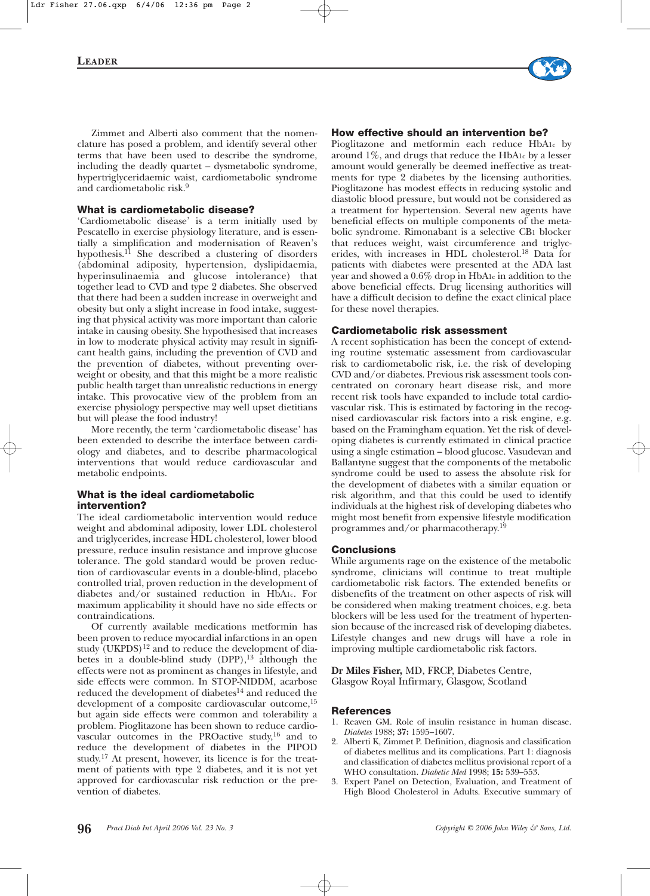

Zimmet and Alberti also comment that the nomenclature has posed a problem, and identify several other terms that have been used to describe the syndrome, including the deadly quartet – dysmetabolic syndrome, hypertriglyceridaemic waist, cardiometabolic syndrome and cardiometabolic risk.9

#### **What is cardiometabolic disease?**

'Cardiometabolic disease' is a term initially used by Pescatello in exercise physiology literature, and is essentially a simplification and modernisation of Reaven's hypothesis.11 She described a clustering of disorders (abdominal adiposity, hypertension, dyslipidaemia, hyperinsulinaemia and glucose intolerance) that together lead to CVD and type 2 diabetes. She observed that there had been a sudden increase in overweight and obesity but only a slight increase in food intake, suggesting that physical activity was more important than calorie intake in causing obesity. She hypothesised that increases in low to moderate physical activity may result in significant health gains, including the prevention of CVD and the prevention of diabetes, without preventing overweight or obesity, and that this might be a more realistic public health target than unrealistic reductions in energy intake. This provocative view of the problem from an exercise physiology perspective may well upset dietitians but will please the food industry!

More recently, the term 'cardiometabolic disease' has been extended to describe the interface between cardiology and diabetes, and to describe pharmacological interventions that would reduce cardiovascular and metabolic endpoints.

#### **What is the ideal cardiometabolic intervention?**

The ideal cardiometabolic intervention would reduce weight and abdominal adiposity, lower LDL cholesterol and triglycerides, increase HDL cholesterol, lower blood pressure, reduce insulin resistance and improve glucose tolerance. The gold standard would be proven reduction of cardiovascular events in a double-blind, placebo controlled trial, proven reduction in the development of diabetes and/or sustained reduction in HbA1c. For maximum applicability it should have no side effects or contraindications.

Of currently available medications metformin has been proven to reduce myocardial infarctions in an open study  $(UKPDS)^{12}$  and to reduce the development of diabetes in a double-blind study  $(DPP)$ ,<sup>13</sup> although the effects were not as prominent as changes in lifestyle, and side effects were common. In STOP-NIDDM, acarbose reduced the development of diabetes<sup>14</sup> and reduced the development of a composite cardiovascular outcome,<sup>15</sup> but again side effects were common and tolerability a problem. Pioglitazone has been shown to reduce cardiovascular outcomes in the PROactive study,16 and to reduce the development of diabetes in the PIPOD study.17 At present, however, its licence is for the treatment of patients with type 2 diabetes, and it is not yet approved for cardiovascular risk reduction or the prevention of diabetes.

#### **How effective should an intervention be?**

Pioglitazone and metformin each reduce HbA1c by around 1%, and drugs that reduce the HbA1c by a lesser amount would generally be deemed ineffective as treatments for type 2 diabetes by the licensing authorities. Pioglitazone has modest effects in reducing systolic and diastolic blood pressure, but would not be considered as a treatment for hypertension. Several new agents have beneficial effects on multiple components of the metabolic syndrome. Rimonabant is a selective CB1 blocker that reduces weight, waist circumference and triglycerides, with increases in HDL cholesterol.18 Data for patients with diabetes were presented at the ADA last year and showed a 0.6% drop in HbA1c in addition to the above beneficial effects. Drug licensing authorities will have a difficult decision to define the exact clinical place for these novel therapies.

#### **Cardiometabolic risk assessment**

A recent sophistication has been the concept of extending routine systematic assessment from cardiovascular risk to cardiometabolic risk, i.e. the risk of developing CVD and/or diabetes. Previous risk assessment tools concentrated on coronary heart disease risk, and more recent risk tools have expanded to include total cardiovascular risk. This is estimated by factoring in the recognised cardiovascular risk factors into a risk engine, e.g. based on the Framingham equation. Yet the risk of developing diabetes is currently estimated in clinical practice using a single estimation – blood glucose. Vasudevan and Ballantyne suggest that the components of the metabolic syndrome could be used to assess the absolute risk for the development of diabetes with a similar equation or risk algorithm, and that this could be used to identify individuals at the highest risk of developing diabetes who might most benefit from expensive lifestyle modification programmes and/or pharmacotherapy.19

#### **Conclusions**

While arguments rage on the existence of the metabolic syndrome, clinicians will continue to treat multiple cardiometabolic risk factors. The extended benefits or disbenefits of the treatment on other aspects of risk will be considered when making treatment choices, e.g. beta blockers will be less used for the treatment of hypertension because of the increased risk of developing diabetes. Lifestyle changes and new drugs will have a role in improving multiple cardiometabolic risk factors.

**Dr Miles Fisher,** MD, FRCP, Diabetes Centre, Glasgow Royal Infirmary, Glasgow, Scotland

#### **References**

- 1. Reaven GM. Role of insulin resistance in human disease. *Diabetes* 1988; **37:** 1595–1607.
- 2. Alberti K, Zimmet P. Definition, diagnosis and classification of diabetes mellitus and its complications. Part 1: diagnosis and classification of diabetes mellitus provisional report of a WHO consultation. *Diabetic Med* 1998; **15:** 539–553.
- 3. Expert Panel on Detection, Evaluation, and Treatment of High Blood Cholesterol in Adults. Executive summary of